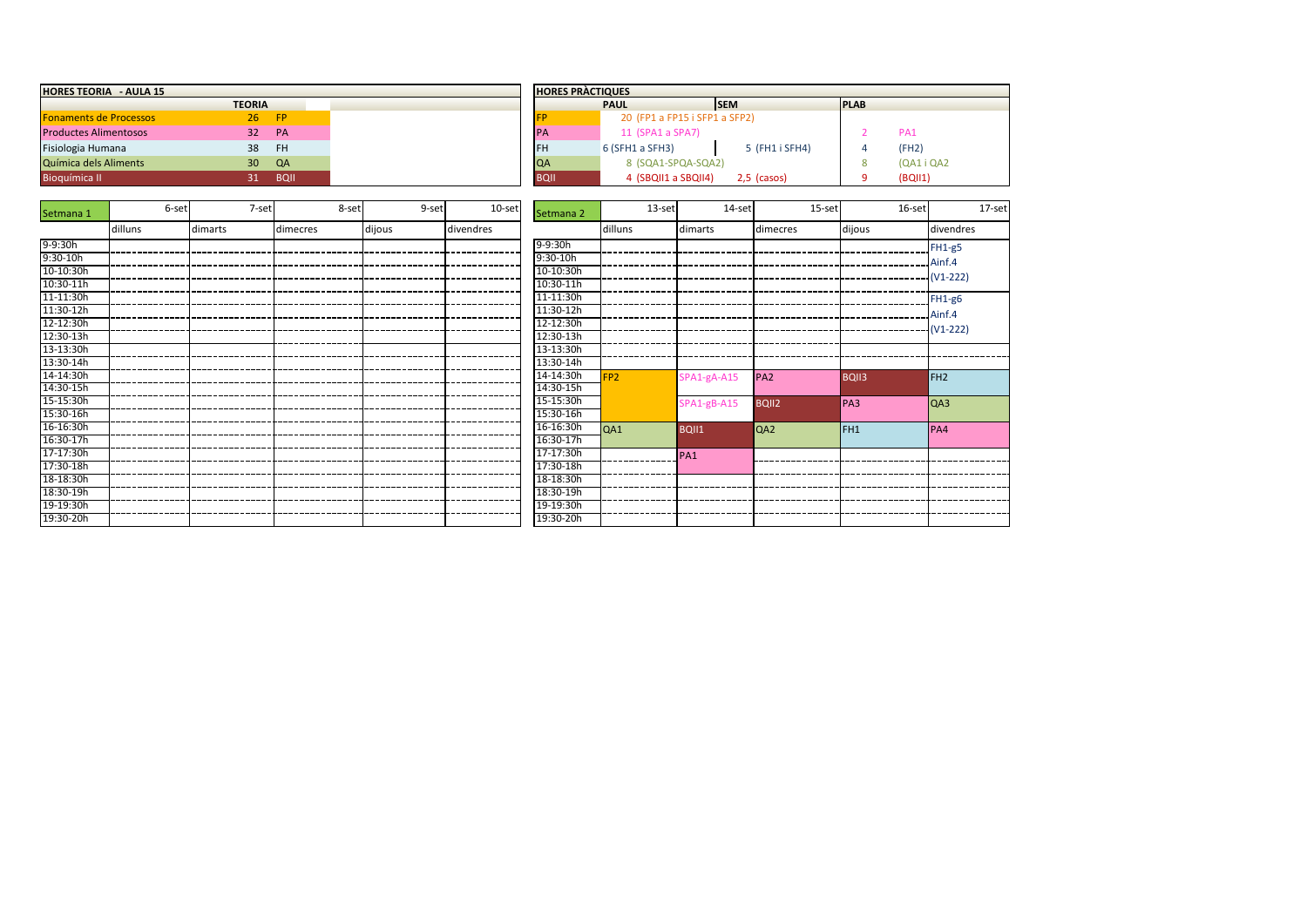| <b>HORES TEORIA - AULA 15</b> |                 |             |             | <b>HORES PRACTIQUES</b>       |                |             |
|-------------------------------|-----------------|-------------|-------------|-------------------------------|----------------|-------------|
|                               | <b>TEORIA</b>   |             |             | <b>PAUL</b>                   | <b>ISEM</b>    | <b>PLAB</b> |
| <b>Fonaments de Processos</b> | 26              | <b>FP</b>   |             | 20 (FP1 a FP15 i SFP1 a SFP2) |                |             |
| <b>Productes Alimentosos</b>  | 32              | PA          | <b>PA</b>   | 11 (SPA1 a SPA7)              |                |             |
| Fisiologia Humana             | 38              | -FH         | <b>IFH</b>  | $6$ (SFH1 a SFH3)             | 5 (FH1 i SFH4) |             |
| Química dels Aliments         | 30 <sup>°</sup> | QA          | <b>QA</b>   | 8 (SQA1-SPQA-SQA2)            |                |             |
| <b>Bioquímica II</b>          |                 | <b>BQII</b> | <b>BQII</b> | 4 (SBQII1 a SBQII4)           | 2,5 (casos)    |             |

| Setmana 1  | 6-set   | 7-set   | 8-set    | 9-set  | 10-set    | Setmana 2  | 13-set          | 14-set          | 15-set          | 16-set          | 17-set          |
|------------|---------|---------|----------|--------|-----------|------------|-----------------|-----------------|-----------------|-----------------|-----------------|
|            | dilluns | dimarts | dimecres | dijous | divendres |            | dilluns         | dimarts         | dimecres        | dijous          | divendres       |
| 9-9:30h    |         |         |          |        |           | 9-9:30h    |                 |                 |                 |                 | $FH1-g5$        |
| $9:30-10h$ |         |         |          |        |           | $9:30-10h$ |                 |                 |                 |                 | Ainf.4          |
| 10-10:30h  |         |         |          |        |           | 10-10:30h  |                 |                 |                 |                 | $(V1-222)$      |
| 10:30-11h  |         |         |          |        |           | 10:30-11h  |                 |                 |                 |                 |                 |
| 11-11:30h  |         |         |          |        |           | 11-11:30h  |                 |                 |                 |                 | FH1-g6          |
| 11:30-12h  |         |         |          |        |           | 11:30-12h  |                 |                 |                 |                 | Ainf.4          |
| 12-12:30h  |         |         |          |        |           | 12-12:30h  |                 |                 |                 |                 |                 |
| 12:30-13h  |         |         |          |        |           | 12:30-13h  |                 |                 |                 |                 |                 |
| 13-13:30h  |         |         |          |        |           | 13-13:30h  |                 |                 |                 |                 |                 |
| 13:30-14h  |         |         |          |        |           | 13:30-14h  |                 |                 |                 |                 |                 |
| 14-14:30h  |         |         |          |        |           | 14-14:30h  | FP <sub>2</sub> | SPA1-gA-A15     | PA <sub>2</sub> | <b>BQII3</b>    | FH <sub>2</sub> |
| 14:30-15h  |         |         |          |        |           | 14:30-15h  |                 |                 |                 |                 |                 |
| 15-15:30h  |         |         |          |        |           | 15-15:30h  |                 | $SPA1-gB-A15$   | <b>BQII2</b>    | PA3             | QA3             |
| 15:30-16h  |         |         |          |        |           | 15:30-16h  |                 |                 |                 |                 |                 |
| 16-16:30h  |         |         |          |        |           | 16-16:30h  | QA1             | <b>BQII1</b>    | QA2             | FH <sub>1</sub> | PA4             |
| 16:30-17h  |         |         |          |        |           | 16:30-17h  |                 |                 |                 |                 |                 |
| 17-17:30h  |         |         |          |        |           | 17-17:30h  |                 | PA <sub>1</sub> |                 |                 |                 |
| 17:30-18h  |         |         |          |        |           | 17:30-18h  |                 |                 |                 |                 |                 |
| 18-18:30h  |         |         |          |        |           | 18-18:30h  |                 |                 |                 |                 |                 |
| 18:30-19h  |         |         |          |        |           | 18:30-19h  |                 |                 |                 |                 |                 |
| 19-19:30h  |         |         |          |        |           | 19-19:30h  |                 |                 |                 |                 |                 |
| 19:30-20h  |         |         |          |        |           | 19:30-20h  |                 |                 |                 |                 |                 |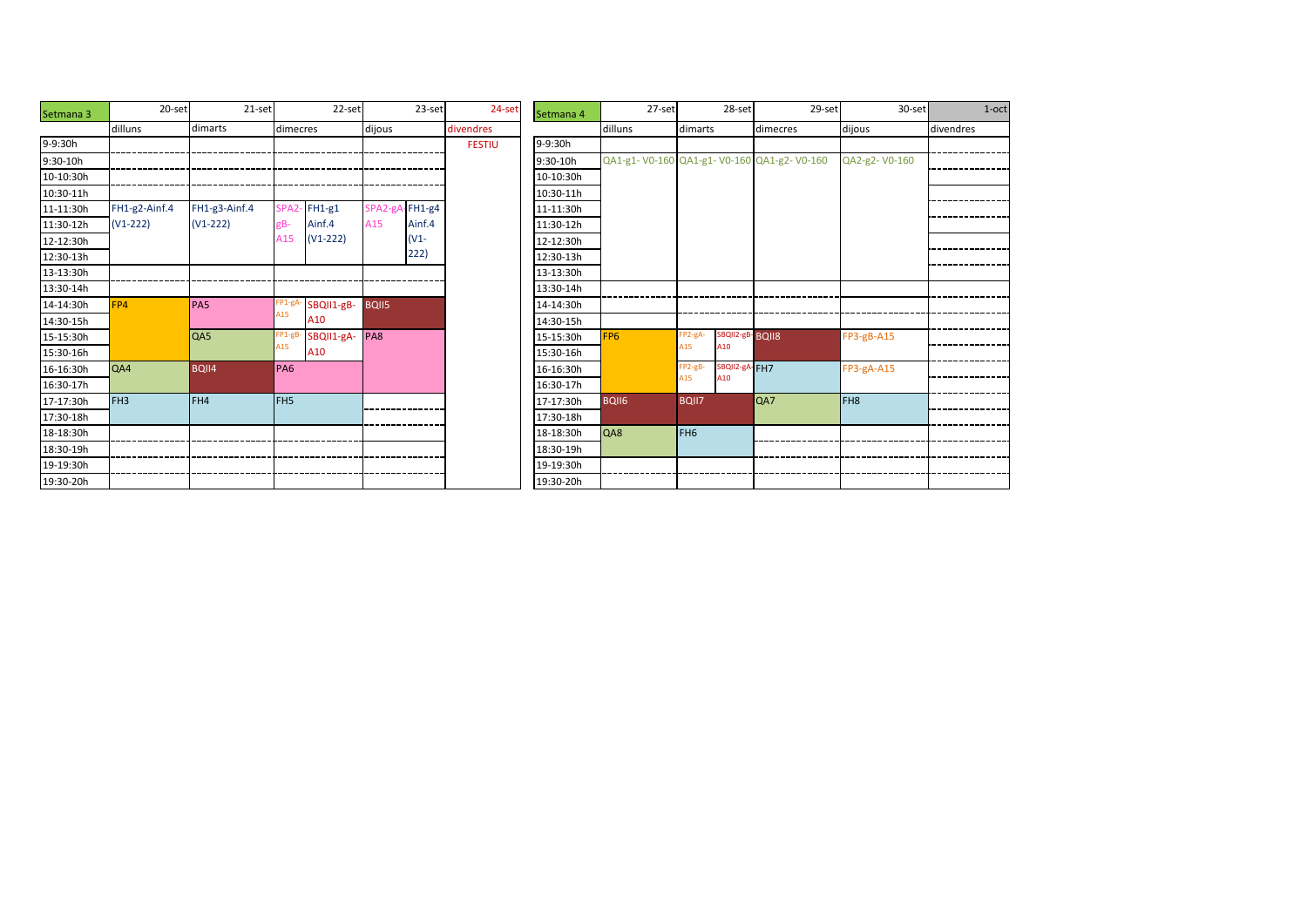| Setmana 3  | 20-set          | $21-set$        |                    | 22-set     |                | 23-set | 24-set        | Setmana 4 |                 |
|------------|-----------------|-----------------|--------------------|------------|----------------|--------|---------------|-----------|-----------------|
|            | dilluns         | dimarts         | dimecres           |            | dijous         |        | divendres     |           | dill            |
| 9-9:30h    |                 |                 |                    |            |                |        | <b>FESTIU</b> | 9-9:30h   |                 |
| $9:30-10h$ |                 |                 |                    |            |                |        |               | 9:30-10h  | QA:             |
| 10-10:30h  |                 |                 |                    |            |                |        |               | 10-10:30h |                 |
| 10:30-11h  |                 |                 |                    |            |                |        |               | 10:30-11h |                 |
| 11-11:30h  | FH1-g2-Ainf.4   | FH1-g3-Ainf.4   | SPA <sub>2</sub> - | $FH1-g1$   | SPA2-gA-FH1-g4 |        |               | 11-11:30h |                 |
| 11:30-12h  | $(V1-222)$      | $(V1-222)$      | gB-                | Ainf.4     | A15            | Ainf.4 |               | 11:30-12h |                 |
| 12-12:30h  |                 |                 | A15                | $(V1-222)$ |                | $(V1-$ |               | 12-12:30h |                 |
| 12:30-13h  |                 |                 |                    |            |                | 222)   |               | 12:30-13h |                 |
| 13-13:30h  |                 |                 |                    |            |                |        |               | 13-13:30h |                 |
| 13:30-14h  |                 |                 |                    |            |                |        |               | 13:30-14h |                 |
| 14-14:30h  | FP4             | PA <sub>5</sub> | FP1-gA-            | SBQII1-gB- | <b>BQII5</b>   |        |               | 14-14:30h |                 |
| 14:30-15h  |                 |                 | A <sub>15</sub>    | A10        |                |        |               | 14:30-15h |                 |
| 15-15:30h  |                 | QA5             | FP1-gB-            | SBQII1-gA- | PA8            |        |               | 15-15:30h | FP <sub>6</sub> |
| 15:30-16h  |                 |                 | A15                | A10        |                |        |               | 15:30-16h |                 |
| 16-16:30h  | QA4             | BQII4           | PA6                |            |                |        |               | 16-16:30h |                 |
| 16:30-17h  |                 |                 |                    |            |                |        |               | 16:30-17h |                 |
| 17-17:30h  | FH <sub>3</sub> | FH4             | FH <sub>5</sub>    |            |                |        |               | 17-17:30h | <b>BQI</b>      |
| 17:30-18h  |                 |                 |                    |            |                |        |               | 17:30-18h |                 |
| 18-18:30h  |                 |                 |                    |            |                |        |               | 18-18:30h | QA8             |
| 18:30-19h  |                 |                 |                    |            |                |        |               | 18:30-19h |                 |
| 19-19:30h  |                 |                 |                    |            |                |        |               | 19-19:30h |                 |
| 19:30-20h  |                 |                 |                    |            |                |        |               | 19:30-20h |                 |

| 20-set | 21-set        |                  | 22-set     |                | 23-set | 24-set        | Setmana 4 |                                           | 27-set |                 | 28-set          |          | 29-set | $30-set$        | $1$ -oct  |
|--------|---------------|------------------|------------|----------------|--------|---------------|-----------|-------------------------------------------|--------|-----------------|-----------------|----------|--------|-----------------|-----------|
|        | dimarts       | dimecres         |            | dijous         |        | divendres     |           | dilluns                                   |        | dimarts         |                 | dimecres |        | dijous          | divendres |
|        |               |                  |            |                |        | <b>FESTIU</b> | 9-9:30h   |                                           |        |                 |                 |          |        |                 |           |
|        |               |                  |            |                |        |               | 9:30-10h  | QA1-g1-V0-160 QA1-g1-V0-160 QA1-g2-V0-160 |        |                 |                 |          |        | QA2-g2-V0-160   |           |
|        |               |                  |            |                |        |               | 10-10:30h |                                           |        |                 |                 |          |        |                 |           |
|        |               |                  |            |                |        |               | 10:30-11h |                                           |        |                 |                 |          |        |                 |           |
| if.4   | FH1-g3-Ainf.4 | SPA <sub>2</sub> | $FH1-g1$   | SPA2-gA-FH1-g4 |        |               | 11-11:30h |                                           |        |                 |                 |          |        |                 |           |
|        | $(V1-222)$    | gB-              | Ainf.4     | A15            | Ainf.4 |               | 11:30-12h |                                           |        |                 |                 |          |        |                 |           |
|        |               | A15              | $(V1-222)$ |                | $(V1-$ |               | 12-12:30h |                                           |        |                 |                 |          |        |                 |           |
|        |               |                  |            |                | 222)   |               | 12:30-13h |                                           |        |                 |                 |          |        |                 |           |
|        |               |                  |            |                |        |               | 13-13:30h |                                           |        |                 |                 |          |        |                 |           |
|        |               |                  |            |                |        |               | 13:30-14h |                                           |        |                 |                 |          |        |                 |           |
|        | <b>PA5</b>    | FP1-gA           | SBQII1-gB- | BQII5          |        |               | 14-14:30h |                                           |        |                 |                 |          |        |                 |           |
|        |               | A15              | A10        |                |        |               | 14:30-15h |                                           |        |                 |                 |          |        |                 |           |
|        | QA5           | FP1-gB           | SBQII1-gA- | PA8            |        |               | 15-15:30h | FP <sub>6</sub>                           |        | FP2-gA-         | SBQII2-gB-BQII8 |          |        | FP3-gB-A15      |           |
|        |               | A15              | A10        |                |        |               | 15:30-16h |                                           |        | A15             | A10             |          |        |                 |           |
|        | <b>BQII4</b>  | <b>PA6</b>       |            |                |        |               | 16-16:30h |                                           |        | FP2-gB-         | SBQII2-gA-FH7   |          |        | FP3-gA-A15      |           |
|        |               |                  |            |                |        |               | 16:30-17h |                                           |        | A15             | A10             |          |        |                 |           |
|        | FH4           | FH <sub>5</sub>  |            |                |        |               | 17-17:30h | <b>BQII6</b>                              |        | <b>BQII7</b>    |                 | QA7      |        | FH <sub>8</sub> |           |
|        |               |                  |            |                |        |               | 17:30-18h |                                           |        |                 |                 |          |        |                 |           |
|        |               |                  |            |                |        |               | 18-18:30h | QA8                                       |        | FH <sub>6</sub> |                 |          |        |                 |           |
|        |               |                  |            |                |        |               | 18:30-19h |                                           |        |                 |                 |          |        |                 |           |
|        |               |                  |            |                |        |               | 19-19:30h |                                           |        |                 |                 |          |        |                 |           |
|        |               |                  |            |                |        |               | 19:30-20h |                                           |        |                 |                 |          |        |                 |           |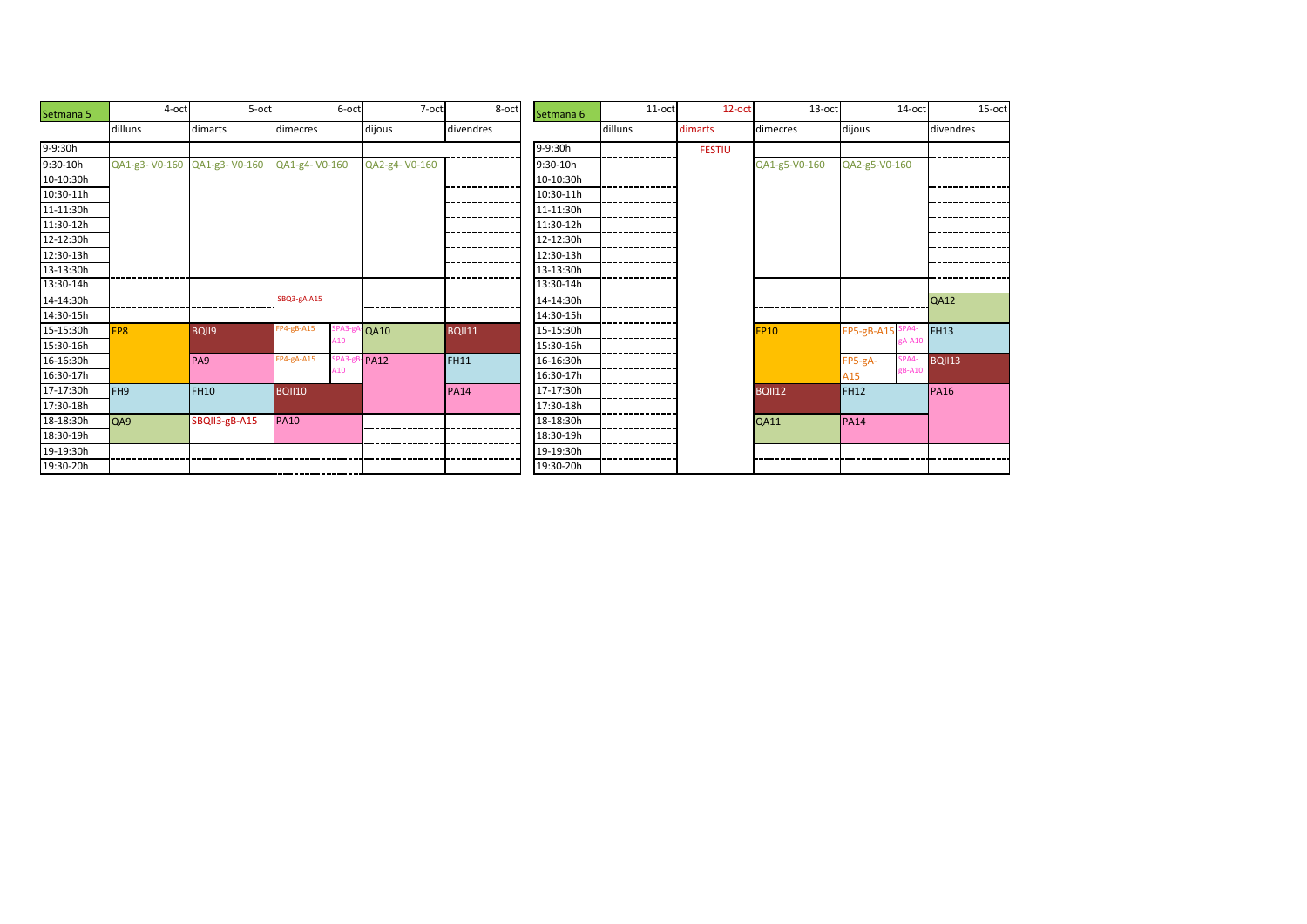| Setmana 5    | 4-oct           | 5-oct           |               | 6-oct | 7-oct         | 8-oct         | Setmana 6 | 11-oct  | 12-oct        | 13-oct        | $14$ -oct        | 15-oct        |
|--------------|-----------------|-----------------|---------------|-------|---------------|---------------|-----------|---------|---------------|---------------|------------------|---------------|
|              | dilluns         | dimarts         | dimecres      |       | dijous        | divendres     |           | dilluns | dimarts       | dimecres      | dijous           | divendres     |
| 9-9:30h      |                 |                 |               |       |               |               | 9-9:30h   |         | <b>FESTIU</b> |               |                  |               |
| $9:30 - 10h$ | QA1-g3-V0-160   | QA1-g3-V0-160   | QA1-g4-V0-160 |       | QA2-g4-V0-160 |               | 9:30-10h  |         |               | QA1-g5-V0-160 | QA2-g5-V0-160    |               |
| 10-10:30h    |                 |                 |               |       |               |               | 10-10:30h |         |               |               |                  |               |
| 10:30-11h    |                 |                 |               |       |               |               | 10:30-11h |         |               |               |                  |               |
| 11-11:30h    |                 |                 |               |       |               |               | 11-11:30h |         |               |               |                  |               |
| 11:30-12h    |                 |                 |               |       |               |               | 11:30-12h |         |               |               |                  |               |
| 12-12:30h    |                 |                 |               |       |               |               | 12-12:30h |         |               |               |                  |               |
| 12:30-13h    |                 |                 |               |       |               |               | 12:30-13h |         |               |               |                  |               |
| 13-13:30h    |                 |                 |               |       |               |               | 13-13:30h |         |               |               |                  |               |
| 13:30-14h    |                 |                 |               |       |               |               | 13:30-14h |         |               |               |                  |               |
| 14-14:30h    |                 |                 | SBQ3-gA A15   |       |               |               | 14-14:30h |         |               |               |                  | <b>QA12</b>   |
| 14:30-15h    |                 |                 |               |       |               |               | 14:30-15h |         |               |               |                  |               |
| 15-15:30h    | FP <sub>8</sub> | BQII9           | $FP4-gB- A15$ | SPA3- | QA10          | <b>BQII11</b> | 15-15:30h |         |               | <b>FP10</b>   | FP5-gB-A15 SPA4- | <b>FH13</b>   |
| 15:30-16h    |                 |                 |               | 410   |               |               | 15:30-16h |         |               |               | gA-A10           |               |
| 16-16:30h    |                 | PA <sub>9</sub> | FP4-gA-A15    | SPA3- | PA12          | <b>FH11</b>   | 16-16:30h |         |               |               | SPA4-<br>FP5-gA- | <b>BQII13</b> |
| 16:30-17h    |                 |                 |               |       |               |               | 16:30-17h |         |               |               | gB-A10<br>A15    |               |
| 17-17:30h    | FH <sub>9</sub> | <b>FH10</b>     | <b>BQII10</b> |       |               | <b>PA14</b>   | 17-17:30h |         |               | <b>BQII12</b> | <b>FH12</b>      | <b>PA16</b>   |
| 17:30-18h    |                 |                 |               |       |               |               | 17:30-18h |         |               |               |                  |               |
| 18-18:30h    | QA9             | SBQII3-gB-A15   | <b>PA10</b>   |       |               |               | 18-18:30h |         |               | <b>QA11</b>   | <b>PA14</b>      |               |
| 18:30-19h    |                 |                 |               |       |               |               | 18:30-19h |         |               |               |                  |               |
| 19-19:30h    |                 |                 |               |       |               |               | 19-19:30h |         |               |               |                  |               |
| 19:30-20h    |                 |                 |               |       |               |               | 19:30-20h |         |               |               |                  |               |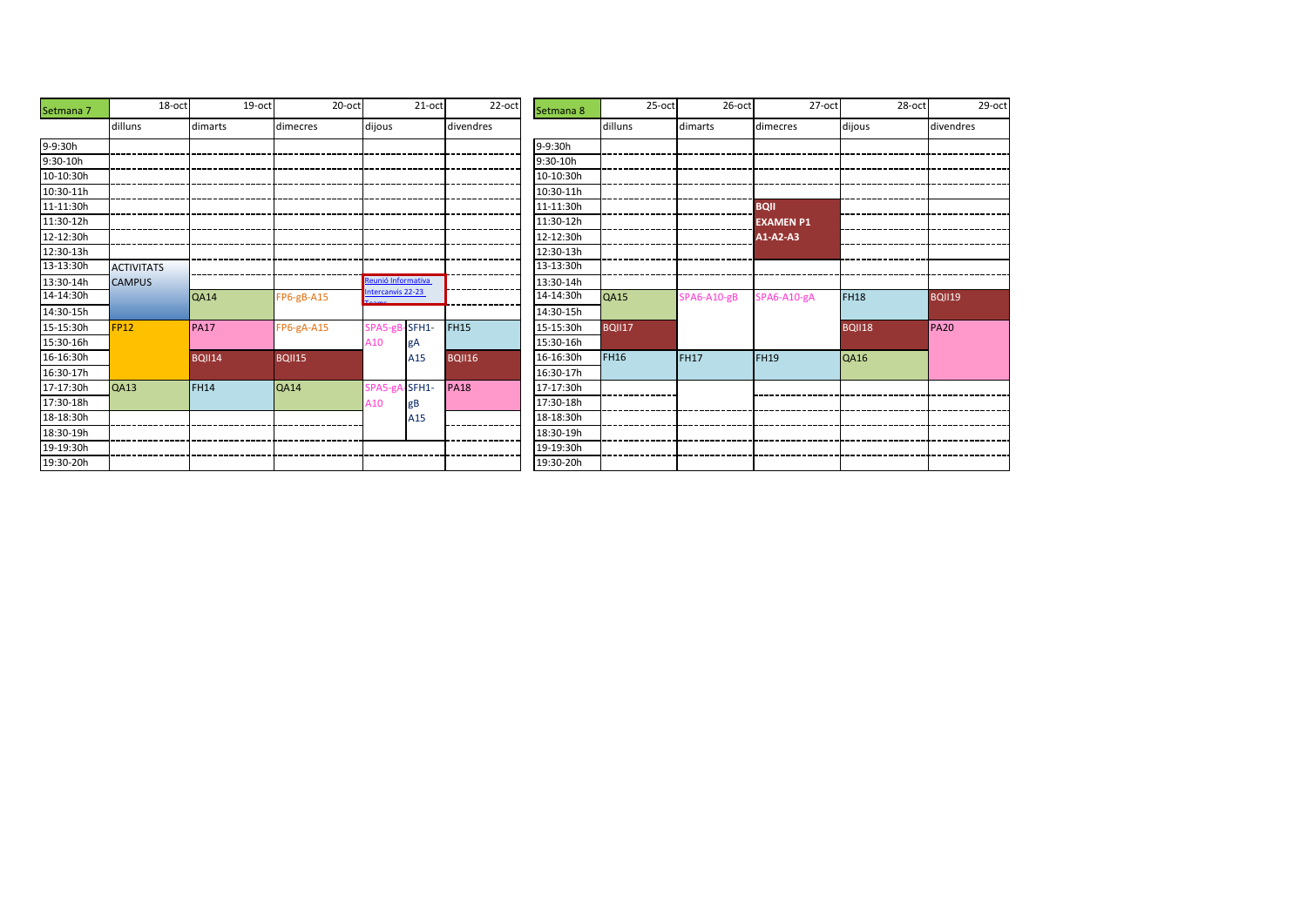| Setmana 7 | 18-oct            | 19-oct        | 20-oct        |                    | 21-oct   | 22-oct        | Setmana 8 | 25-oct        | $26$ -oct   | 27-oct           | 28-oct        | 29-oct      |
|-----------|-------------------|---------------|---------------|--------------------|----------|---------------|-----------|---------------|-------------|------------------|---------------|-------------|
|           | dilluns           | dimarts       | dimecres      | dijous             |          | divendres     |           | dilluns       | dimarts     | dimecres         | dijous        | divendres   |
| 9-9:30h   |                   |               |               |                    |          |               | 9-9:30h   |               |             |                  |               |             |
| 9:30-10h  |                   |               |               |                    |          |               | 9:30-10h  |               |             |                  |               |             |
| 10-10:30h |                   |               |               |                    |          |               | 10-10:30h |               |             |                  |               |             |
| 10:30-11h |                   |               |               |                    |          |               | 10:30-11h |               |             |                  |               |             |
| 11-11:30h |                   |               |               |                    |          |               | 11-11:30h |               |             | <b>BQII</b>      |               |             |
| 11:30-12h |                   |               |               |                    |          |               | 11:30-12h |               |             | <b>EXAMEN P1</b> |               |             |
| 12-12:30h |                   |               |               |                    |          |               | 12-12:30h |               |             | $A1-A2-A3$       |               |             |
| 12:30-13h |                   |               |               |                    |          |               | 12:30-13h |               |             |                  |               |             |
| 13-13:30h | <b>ACTIVITATS</b> |               |               |                    |          |               | 13-13:30h |               |             |                  |               |             |
| 13:30-14h | <b>CAMPUS</b>     |               |               | Reunió Informativa |          |               | 13:30-14h |               |             |                  |               |             |
| 14-14:30h |                   | <b>QA14</b>   | $FP6-gB-A15$  | Intercanvis 22-23  |          |               | 14-14:30h | <b>QA15</b>   | SPA6-A10-gB | SPA6-A10-gA      | <b>FH18</b>   | BQII19      |
| 14:30-15h |                   |               |               |                    |          |               | 14:30-15h |               |             |                  |               |             |
| 15-15:30h | <b>FP12</b>       | <b>PA17</b>   | FP6-gA-A15    | SPA5-gB            | $-SFH1-$ | <b>FH15</b>   | 15-15:30h | <b>BQII17</b> |             |                  | <b>BQII18</b> | <b>PA20</b> |
| 15:30-16h |                   |               |               | A10                |          |               | 15:30-16h |               |             |                  |               |             |
| 16-16:30h |                   | <b>BQII14</b> | <b>BQII15</b> |                    | A15      | <b>BQII16</b> | 16-16:30h | <b>FH16</b>   | <b>FH17</b> | FH <sub>19</sub> | <b>QA16</b>   |             |
| 16:30-17h |                   |               |               |                    |          |               | 16:30-17h |               |             |                  |               |             |
| 17-17:30h | QA13              | <b>FH14</b>   | <b>QA14</b>   | SPA5-gA            | $-SFH1-$ | <b>PA18</b>   | 17-17:30h |               |             |                  |               |             |
| 17:30-18h |                   |               |               | A10                | gВ       |               | 17:30-18h |               |             |                  |               |             |
| 18-18:30h |                   |               |               |                    | A15      |               | 18-18:30h |               |             |                  |               |             |
| 18:30-19h |                   |               |               |                    |          |               | 18:30-19h |               |             |                  |               |             |
| 19-19:30h |                   |               |               |                    |          |               | 19-19:30h |               |             |                  |               |             |
| 19:30-20h |                   |               |               |                    |          |               | 19:30-20h |               |             |                  |               |             |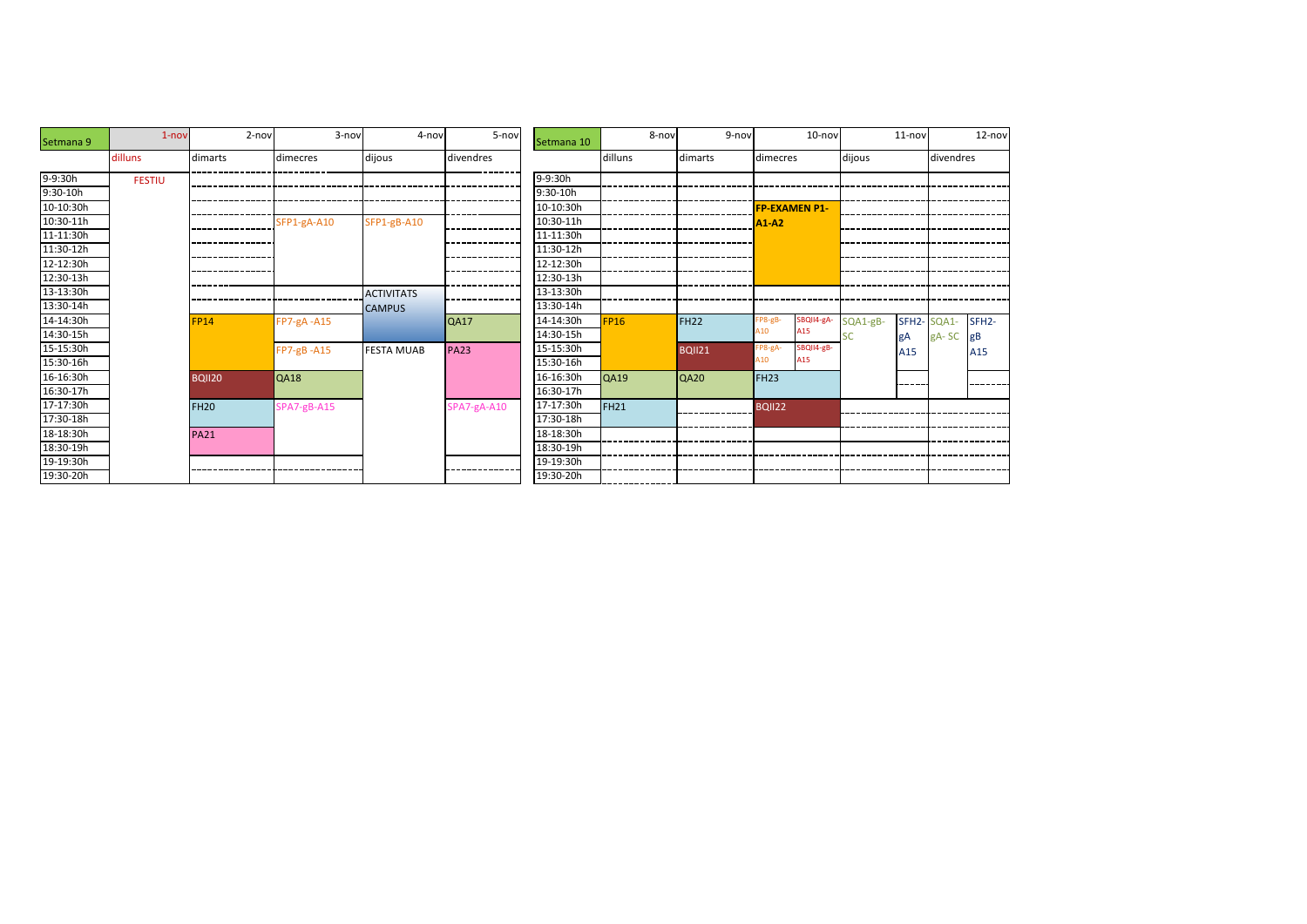| Setmana 9 | $1 - nov$     | $2-nov$       | 3-nov          | 4-nov             | 5-nov       | Setmana 10 | 8-nov       | 9-nov         |                  | 10-nov               |          | $11 - nov$         |           | 12-nov             |
|-----------|---------------|---------------|----------------|-------------------|-------------|------------|-------------|---------------|------------------|----------------------|----------|--------------------|-----------|--------------------|
|           | dilluns       | dimarts       | dimecres       | dijous            | divendres   |            | dilluns     | dimarts       | dimecres         |                      | dijous   |                    | divendres |                    |
| 9-9:30h   | <b>FESTIU</b> |               |                |                   |             | 9-9:30h    |             |               |                  |                      |          |                    |           |                    |
| 9:30-10h  |               |               |                |                   |             | 9:30-10h   |             |               |                  |                      |          |                    |           |                    |
| 10-10:30h |               |               |                |                   |             | 10-10:30h  |             |               |                  | <b>FP-EXAMEN P1-</b> |          |                    |           |                    |
| 10:30-11h |               |               | SFP1-gA-A10    | SFP1-gB-A10       |             | 10:30-11h  |             |               | <b>A1-A2</b>     |                      |          |                    |           |                    |
| 11-11:30h |               |               |                |                   |             | 11-11:30h  |             |               |                  |                      |          |                    |           |                    |
| 11:30-12h |               |               |                |                   |             | 11:30-12h  |             |               |                  |                      |          |                    |           |                    |
| 12-12:30h |               |               |                |                   |             | 12-12:30h  |             |               |                  |                      |          |                    |           |                    |
| 12:30-13h |               |               |                |                   |             | 12:30-13h  |             |               |                  |                      |          |                    |           |                    |
| 13-13:30h |               |               |                | <b>ACTIVITATS</b> |             | 13-13:30h  |             |               |                  |                      |          |                    |           |                    |
| 13:30-14h |               |               |                | <b>CAMPUS</b>     |             | 13:30-14h  |             |               |                  |                      |          |                    |           |                    |
| 14-14:30h |               | <b>FP14</b>   | FP7-gA-A15     |                   | <b>QA17</b> | 14-14:30h  | <b>FP16</b> | <b>FH22</b>   | FP8-gB-          | SBQII4-gA-           | SQA1-gB- | SFH <sub>2</sub> - | SQA1-     | SFH <sub>2</sub> - |
| 14:30-15h |               |               |                |                   |             | 14:30-15h  |             |               | A10              | A15                  |          | gA                 | gA-SC     | gB                 |
| 15-15:30h |               |               | $FP7-gB - A15$ | <b>FESTA MUAB</b> | <b>PA23</b> | 15-15:30h  |             | <b>BQII21</b> | FP8-gA-          | SBQII4-gB-           |          | A15                |           | A15                |
| 15:30-16h |               |               |                |                   |             | 15:30-16h  |             |               | A10              | A15                  |          |                    |           |                    |
| 16-16:30h |               | <b>BQII20</b> | <b>QA18</b>    |                   |             | 16-16:30h  | <b>QA19</b> | <b>QA20</b>   | FH <sub>23</sub> |                      |          | -----              |           |                    |
| 16:30-17h |               |               |                |                   |             | 16:30-17h  |             |               |                  |                      |          |                    |           |                    |
| 17-17:30h |               | <b>FH20</b>   | SPA7-gB-A15    |                   | SPA7-gA-A10 | 17-17:30h  | <b>FH21</b> |               | <b>BQII22</b>    |                      |          |                    |           |                    |
| 17:30-18h |               |               |                |                   |             | 17:30-18h  |             |               |                  |                      |          |                    |           |                    |
| 18-18:30h |               | <b>PA21</b>   |                |                   |             | 18-18:30h  |             |               |                  |                      |          |                    |           |                    |
| 18:30-19h |               |               |                |                   |             | 18:30-19h  |             |               |                  |                      |          |                    |           |                    |
| 19-19:30h |               |               |                |                   |             | 19-19:30h  |             |               |                  |                      |          |                    |           |                    |
| 19:30-20h |               |               |                |                   |             | 19:30-20h  |             |               |                  |                      |          |                    |           |                    |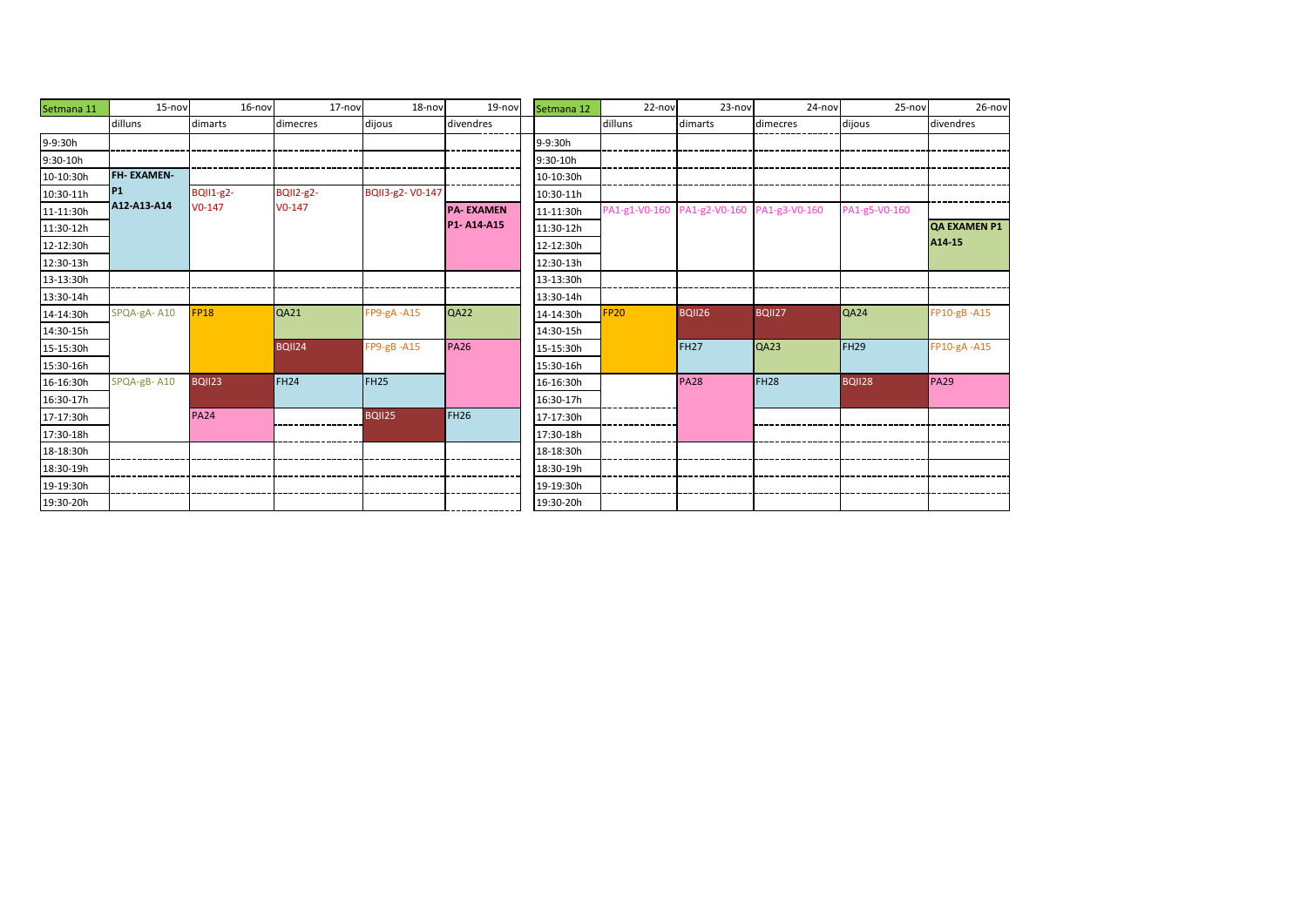| Setmana 11 | 15-nov            | 16-nov           | 17-nov           | 18-nov           | 19-nov           | Setmana 12 | 22-nov        | 23-nov                      | 24-nov           | $25 - nov$       | 26-nov              |
|------------|-------------------|------------------|------------------|------------------|------------------|------------|---------------|-----------------------------|------------------|------------------|---------------------|
|            | dilluns           | dimarts          | dimecres         | dijous           | divendres        |            | dilluns       | dimarts                     | dimecres         | dijous           | divendres           |
| 9-9:30h    |                   |                  |                  |                  |                  | 9-9:30h    |               |                             |                  |                  |                     |
| 9:30-10h   |                   |                  |                  |                  |                  | 9:30-10h   |               |                             |                  |                  |                     |
| 10-10:30h  | <b>FH-EXAMEN-</b> |                  |                  |                  |                  | 10-10:30h  |               |                             |                  |                  |                     |
| 10:30-11h  | P <sub>1</sub>    | <b>BQII1-g2-</b> | <b>BQII2-g2-</b> | BQII3-g2-V0-147  |                  | 10:30-11h  |               |                             |                  |                  |                     |
| 11-11:30h  | A12-A13-A14       | $V0-147$         | $V0-147$         |                  | <b>PA-EXAMEN</b> | 11-11:30h  | PA1-g1-V0-160 | PA1-g2-V0-160 PA1-g3-V0-160 |                  | PA1-g5-V0-160    |                     |
| 11:30-12h  |                   |                  |                  |                  | P1-A14-A15       | 11:30-12h  |               |                             |                  |                  | <b>QA EXAMEN P1</b> |
| 12-12:30h  |                   |                  |                  |                  |                  | 12-12:30h  |               |                             |                  |                  | A14-15              |
| 12:30-13h  |                   |                  |                  |                  |                  | 12:30-13h  |               |                             |                  |                  |                     |
| 13-13:30h  |                   |                  |                  |                  |                  | 13-13:30h  |               |                             |                  |                  |                     |
| 13:30-14h  |                   |                  |                  |                  |                  | 13:30-14h  |               |                             |                  |                  |                     |
| 14-14:30h  | SPQA-gA-A10       | <b>FP18</b>      | QA21             | $FP9-gA - A15$   | QA22             | 14-14:30h  | <b>FP20</b>   | <b>BQII26</b>               | BQII27           | QA24             | FP10-gB-A15         |
| 14:30-15h  |                   |                  |                  |                  |                  | 14:30-15h  |               |                             |                  |                  |                     |
| 15-15:30h  |                   |                  | <b>BQII24</b>    | $FP9-gB - A15$   | <b>PA26</b>      | 15-15:30h  |               | <b>FH27</b>                 | QA23             | FH <sub>29</sub> | FP10-gA-A15         |
| 15:30-16h  |                   |                  |                  |                  |                  | 15:30-16h  |               |                             |                  |                  |                     |
| 16-16:30h  | SPQA-gB-A10       | <b>BQII23</b>    | <b>FH24</b>      | FH <sub>25</sub> |                  | 16-16:30h  |               | <b>PA28</b>                 | FH <sub>28</sub> | <b>BQII28</b>    | <b>PA29</b>         |
| 16:30-17h  |                   |                  |                  |                  |                  | 16:30-17h  |               |                             |                  |                  |                     |
| 17-17:30h  |                   | <b>PA24</b>      |                  | <b>BOII25</b>    | <b>FH26</b>      | 17-17:30h  |               |                             |                  |                  |                     |
| 17:30-18h  |                   |                  |                  |                  |                  | 17:30-18h  |               |                             |                  |                  |                     |
| 18-18:30h  |                   |                  |                  |                  |                  | 18-18:30h  |               |                             |                  |                  |                     |
| 18:30-19h  |                   |                  |                  |                  |                  | 18:30-19h  |               |                             |                  |                  |                     |
| 19-19:30h  |                   |                  |                  |                  |                  | 19-19:30h  |               |                             |                  |                  |                     |
| 19:30-20h  |                   |                  |                  |                  |                  | 19:30-20h  |               |                             |                  |                  |                     |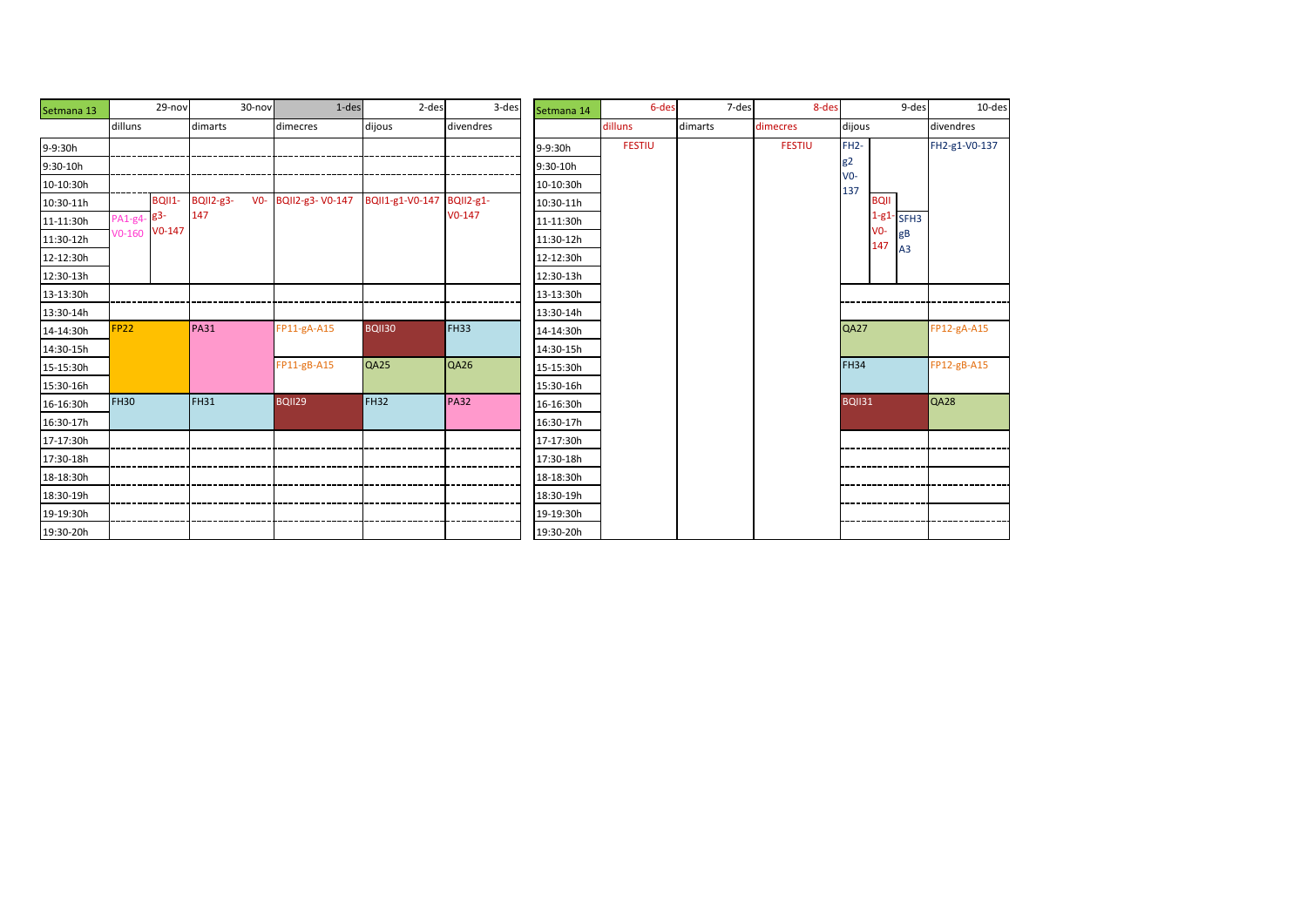| Setmana 13 |             | 29-nov        |                  | 30-nov | 1-des               | 2-des           | 3-des            | Setmana 14 | 6-des         | 7-des   | 8-des         |                   | 9-des                       | 10-des        |
|------------|-------------|---------------|------------------|--------|---------------------|-----------------|------------------|------------|---------------|---------|---------------|-------------------|-----------------------------|---------------|
|            | dilluns     |               | dimarts          |        | dimecres            | dijous          | divendres        |            | dilluns       | dimarts | dimecres      | dijous            |                             | divendres     |
| 9-9:30h    |             |               |                  |        |                     |                 |                  | 9-9:30h    | <b>FESTIU</b> |         | <b>FESTIU</b> | FH <sub>2</sub> - |                             | FH2-g1-V0-137 |
| 9:30-10h   |             |               |                  |        |                     |                 |                  | 9:30-10h   |               |         |               | g2                |                             |               |
| 10-10:30h  |             |               |                  |        |                     |                 |                  | 10-10:30h  |               |         |               | $V0 -$<br>137     |                             |               |
| 10:30-11h  |             | <b>BQII1-</b> | <b>BQII2-g3-</b> |        | V0- BQII2-g3-V0-147 | BQII1-g1-V0-147 | <b>BQII2-g1-</b> | 10:30-11h  |               |         |               |                   | <b>BOIL</b>                 |               |
| 11-11:30h  | PA1-g4-83-  | $V0-147$      | 147              |        |                     |                 | $V0-147$         | 11-11:30h  |               |         |               |                   | $1-g1$ - SFH3<br>$V0 -$     |               |
| 11:30-12h  | $V0-160$    |               |                  |        |                     |                 |                  | 11:30-12h  |               |         |               |                   | gB<br>147<br>A <sub>3</sub> |               |
| 12-12:30h  |             |               |                  |        |                     |                 |                  | 12-12:30h  |               |         |               |                   |                             |               |
| 12:30-13h  |             |               |                  |        |                     |                 |                  | 12:30-13h  |               |         |               |                   |                             |               |
| 13-13:30h  |             |               |                  |        |                     |                 |                  | 13-13:30h  |               |         |               |                   |                             |               |
| 13:30-14h  |             |               |                  |        |                     |                 |                  | 13:30-14h  |               |         |               |                   |                             |               |
| 14-14:30h  | <b>FP22</b> |               | <b>PA31</b>      |        | FP11-gA-A15         | <b>BQII30</b>   | <b>FH33</b>      | 14-14:30h  |               |         |               | <b>QA27</b>       |                             | FP12-gA-A15   |
| 14:30-15h  |             |               |                  |        |                     |                 |                  | 14:30-15h  |               |         |               |                   |                             |               |
| 15-15:30h  |             |               |                  |        | $FP11-gB- A15$      | QA25            | QA26             | 15-15:30h  |               |         |               | <b>FH34</b>       |                             | FP12-gB-A15   |
| 15:30-16h  |             |               |                  |        |                     |                 |                  | 15:30-16h  |               |         |               |                   |                             |               |
| 16-16:30h  | <b>FH30</b> |               | <b>FH31</b>      |        | BQII29              | <b>FH32</b>     | <b>PA32</b>      | 16-16:30h  |               |         |               | <b>BQII31</b>     |                             | QA28          |
| 16:30-17h  |             |               |                  |        |                     |                 |                  | 16:30-17h  |               |         |               |                   |                             |               |
| 17-17:30h  |             |               |                  |        |                     |                 |                  | 17-17:30h  |               |         |               |                   |                             |               |
| 17:30-18h  |             |               |                  |        |                     |                 |                  | 17:30-18h  |               |         |               |                   |                             |               |
| 18-18:30h  |             |               |                  |        |                     |                 |                  | 18-18:30h  |               |         |               |                   |                             |               |
| 18:30-19h  |             |               |                  |        |                     |                 |                  | 18:30-19h  |               |         |               |                   |                             |               |
| 19-19:30h  |             |               |                  |        |                     |                 |                  | 19-19:30h  |               |         |               |                   |                             |               |
| 19:30-20h  |             |               |                  |        |                     |                 |                  | 19:30-20h  |               |         |               |                   |                             |               |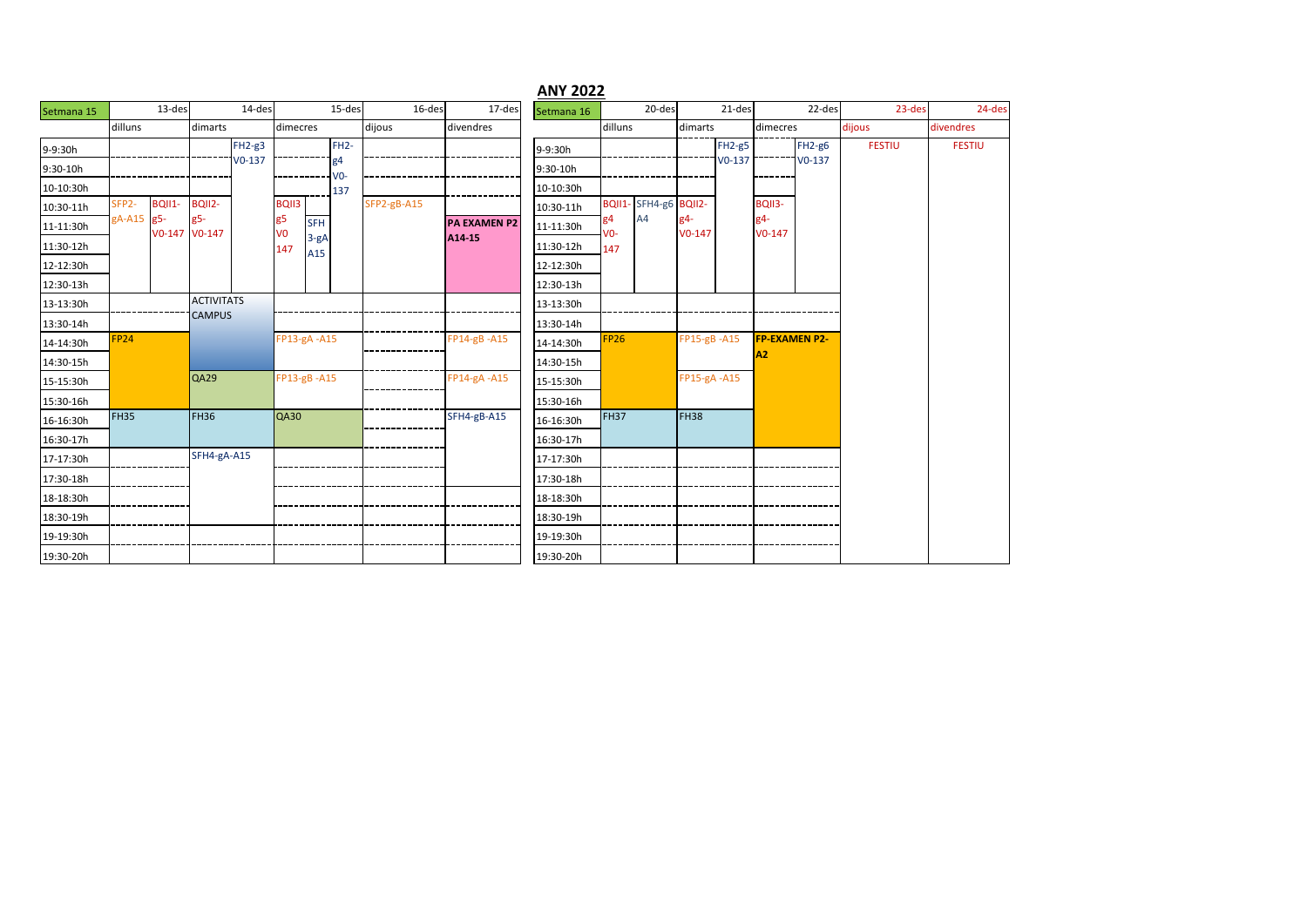|            |                    |               |                                    |          |                      |               |             |             |                     | <b>ANY 2022</b> |             |                       |                 |          |                                        |          |               |               |
|------------|--------------------|---------------|------------------------------------|----------|----------------------|---------------|-------------|-------------|---------------------|-----------------|-------------|-----------------------|-----------------|----------|----------------------------------------|----------|---------------|---------------|
| Setmana 15 |                    | 13-des        |                                    | 14-des   |                      |               | 15-des      | 16-des      | 17-des              | Setmana 16      |             | 20-des                |                 | 21-des   |                                        | 22-des   | 23-des        | 24-des        |
|            | dilluns            |               | dimarts                            |          | dimecres             |               |             | dijous      | divendres           |                 | dilluns     |                       | dimarts         |          | dimecres                               |          | dijous        | divendres     |
| 9-9:30h    |                    |               |                                    | $FH2-g3$ |                      |               | $FH2-$      |             |                     | 9-9:30h         |             |                       |                 | $FH2-g5$ |                                        | $FH2-g6$ | <b>FESTIU</b> | <b>FESTIU</b> |
| 9:30-10h   |                    |               |                                    | $V0-137$ |                      |               | g4<br>$V0-$ |             |                     | 9:30-10h        |             |                       |                 | $V0-137$ |                                        | $V0-137$ |               |               |
| 10-10:30h  |                    |               |                                    |          |                      |               | 137         |             |                     | 10-10:30h       |             |                       |                 |          |                                        |          |               |               |
| 10:30-11h  | SFP <sub>2</sub> - | <b>BQII1-</b> | BQII2-                             |          | <b>BQII3</b>         |               |             | SFP2-gB-A15 |                     | 10:30-11h       |             | BQII1- SFH4-g6 BQII2- |                 |          | BQII3-                                 |          |               |               |
| 11-11:30h  | gA-A15 g5-         | V0-147 V0-147 | g5-                                |          | g5<br>V <sub>0</sub> | <b>SFH</b>    |             |             | <b>PA EXAMEN P2</b> | 11-11:30h       | g4<br>$V0-$ | A4                    | σ4-<br>$V0-147$ |          | g4-<br>$V0-147$                        |          |               |               |
| 11:30-12h  |                    |               |                                    |          | 147                  | $3-gA$<br>A15 |             |             | A14-15              | 11:30-12h       | 147         |                       |                 |          |                                        |          |               |               |
| 12-12:30h  |                    |               |                                    |          |                      |               |             |             |                     | 12-12:30h       |             |                       |                 |          |                                        |          |               |               |
| 12:30-13h  |                    |               |                                    |          |                      |               |             |             |                     | 12:30-13h       |             |                       |                 |          |                                        |          |               |               |
| 13-13:30h  |                    |               | <b>ACTIVITATS</b><br><b>CAMPUS</b> |          |                      |               |             |             |                     | 13-13:30h       |             |                       |                 |          |                                        |          |               |               |
| 13:30-14h  |                    |               |                                    |          |                      |               |             |             |                     | 13:30-14h       |             |                       |                 |          |                                        |          |               |               |
| 14-14:30h  | FP <sub>24</sub>   |               |                                    |          | FP13-gA-A15          |               |             |             | FP14-gB-A15         | 14-14:30h       | <b>FP26</b> |                       | FP15-gB-A15     |          | <b>FP-EXAMEN P2-</b><br>A <sub>2</sub> |          |               |               |
| 14:30-15h  |                    |               |                                    |          |                      |               |             |             |                     | 14:30-15h       |             |                       |                 |          |                                        |          |               |               |
| 15-15:30h  |                    |               | QA29                               |          | FP13-gB-A15          |               |             |             | FP14-gA-A15         | 15-15:30h       |             |                       | FP15-gA-A15     |          |                                        |          |               |               |
| 15:30-16h  |                    |               |                                    |          |                      |               |             |             |                     | 15:30-16h       |             |                       |                 |          |                                        |          |               |               |
| 16-16:30h  | <b>FH35</b>        |               | <b>FH36</b>                        |          | QA30                 |               |             |             | SFH4-gB-A15         | 16-16:30h       | <b>FH37</b> |                       | <b>FH38</b>     |          |                                        |          |               |               |
| 16:30-17h  |                    |               |                                    |          |                      |               |             |             |                     | 16:30-17h       |             |                       |                 |          |                                        |          |               |               |
| 17-17:30h  |                    |               | SFH4-gA-A15                        |          |                      |               |             |             |                     | 17-17:30h       |             |                       |                 |          |                                        |          |               |               |
| 17:30-18h  |                    |               |                                    |          |                      |               |             |             |                     | 17:30-18h       |             |                       |                 |          |                                        |          |               |               |
| 18-18:30h  |                    |               |                                    |          |                      |               |             |             |                     | 18-18:30h       |             |                       |                 |          |                                        |          |               |               |
| 18:30-19h  |                    |               |                                    |          |                      |               |             |             |                     | 18:30-19h       |             |                       |                 |          |                                        |          |               |               |
| 19-19:30h  |                    |               |                                    |          |                      |               |             |             |                     | 19-19:30h       |             |                       |                 |          |                                        |          |               |               |
| 19:30-20h  |                    |               |                                    |          |                      |               |             |             |                     | 19:30-20h       |             |                       |                 |          |                                        |          |               |               |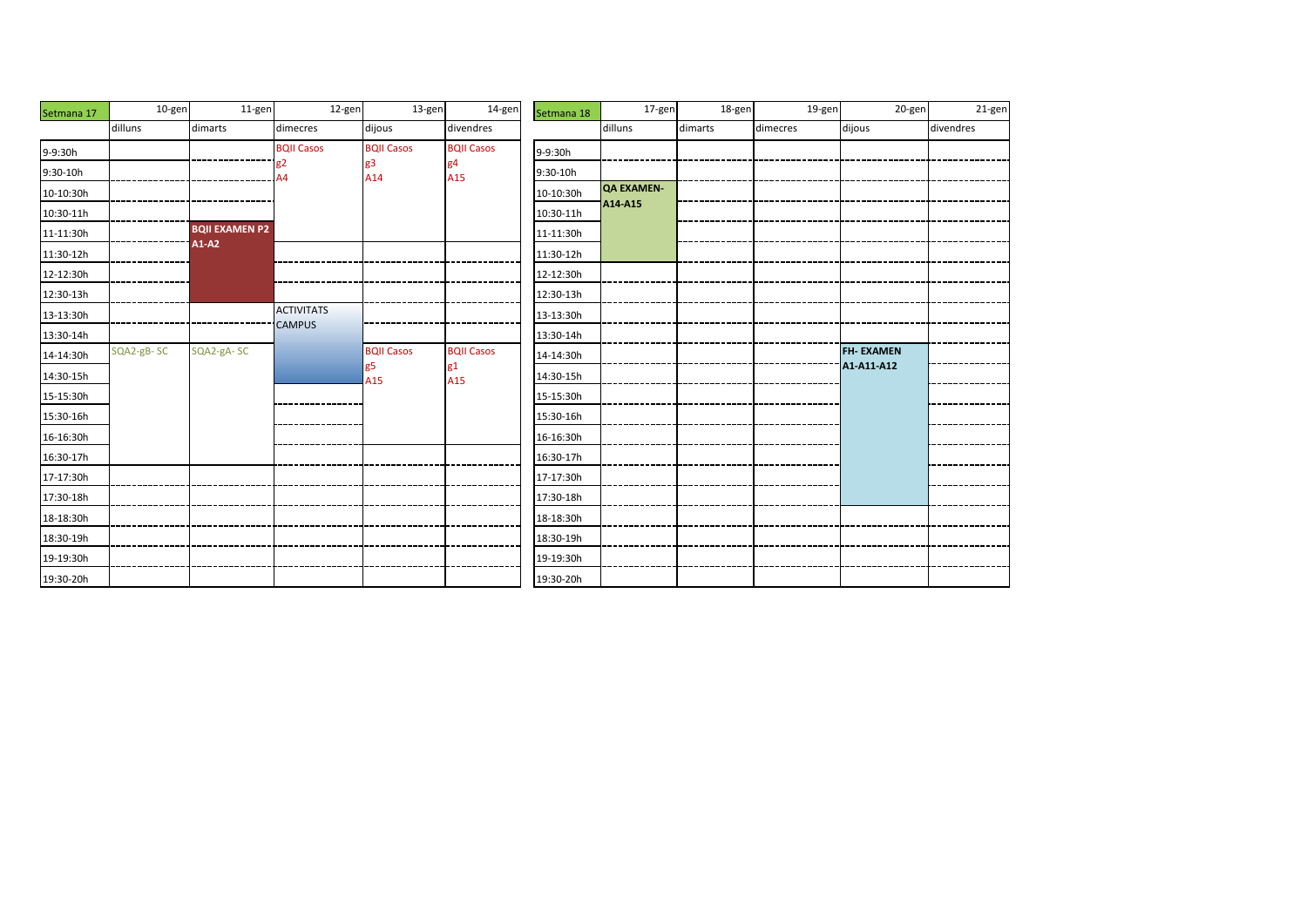| Setmana 17 | 10-gen     | 11-gen                | 12-gen            | 13-gen            | 14-gen            | Setmana 18 | 17-gen            | 18-gen  | 19-gen   | 20-gen           | 21-gen    |
|------------|------------|-----------------------|-------------------|-------------------|-------------------|------------|-------------------|---------|----------|------------------|-----------|
|            | dilluns    | dimarts               | dimecres          | dijous            | divendres         |            | dilluns           | dimarts | dimecres | dijous           | divendres |
| 9-9:30h    |            |                       | <b>BQII Casos</b> | <b>BQII Casos</b> | <b>BQII Casos</b> | 9-9:30h    |                   |         |          |                  |           |
| 9:30-10h   |            |                       | g2<br>44          | g3<br>A14         | g4<br>A15         | 9:30-10h   |                   |         |          |                  |           |
| 10-10:30h  |            |                       |                   |                   |                   | 10-10:30h  | <b>QA EXAMEN-</b> |         |          |                  |           |
| 10:30-11h  |            |                       |                   |                   |                   | 10:30-11h  | A14-A15           |         |          |                  |           |
| 11-11:30h  |            | <b>BQII EXAMEN P2</b> |                   |                   |                   | 11-11:30h  |                   |         |          |                  |           |
| 11:30-12h  |            | A1-A2                 |                   |                   |                   | 11:30-12h  |                   |         |          |                  |           |
| 12-12:30h  |            |                       |                   |                   |                   | 12-12:30h  |                   |         |          |                  |           |
| 12:30-13h  |            |                       |                   |                   |                   | 12:30-13h  |                   |         |          |                  |           |
| 13-13:30h  |            |                       | <b>ACTIVITATS</b> |                   |                   | 13-13:30h  |                   |         |          |                  |           |
| 13:30-14h  |            |                       | <b>CAMPUS</b>     |                   |                   | 13:30-14h  |                   |         |          |                  |           |
| 14-14:30h  | SQA2-gB-SC | SQA2-gA-SC            |                   | <b>BQII Casos</b> | <b>BQII Casos</b> | 14-14:30h  |                   |         |          | <b>FH-EXAMEN</b> |           |
| 14:30-15h  |            |                       |                   | g5<br>A15         | g1<br>A15         | 14:30-15h  |                   |         |          | A1-A11-A12       |           |
| 15-15:30h  |            |                       |                   |                   |                   | 15-15:30h  |                   |         |          |                  |           |
| 15:30-16h  |            |                       |                   |                   |                   | 15:30-16h  |                   |         |          |                  |           |
| 16-16:30h  |            |                       |                   |                   |                   | 16-16:30h  |                   |         |          |                  |           |
| 16:30-17h  |            |                       |                   |                   |                   | 16:30-17h  |                   |         |          |                  |           |
| 17-17:30h  |            |                       |                   |                   |                   | 17-17:30h  |                   |         |          |                  |           |
| 17:30-18h  |            |                       |                   |                   |                   | 17:30-18h  |                   |         |          |                  |           |
| 18-18:30h  |            |                       |                   |                   |                   | 18-18:30h  |                   |         |          |                  |           |
| 18:30-19h  |            |                       |                   |                   |                   | 18:30-19h  |                   |         |          |                  |           |
| 19-19:30h  |            |                       |                   |                   |                   | 19-19:30h  |                   |         |          |                  |           |
| 19:30-20h  |            |                       |                   |                   |                   | 19:30-20h  |                   |         |          |                  |           |